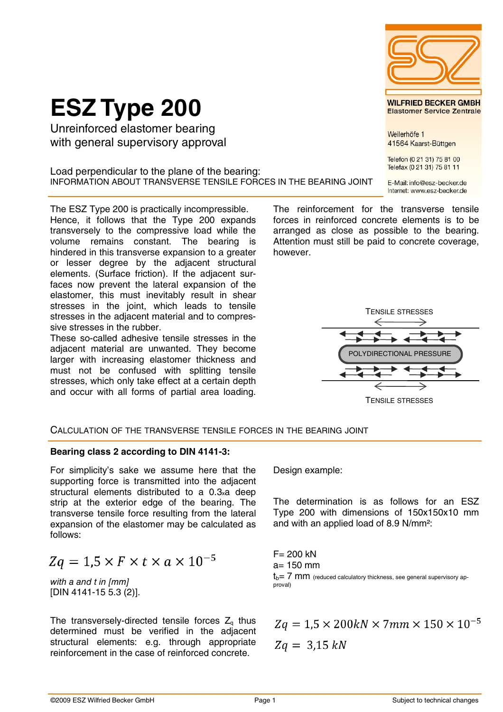#### sive stresses in the rubber. These so-called adhesive tensile stresses in the adjacent material are unwanted. They become

larger with increasing elastomer thickness and must not be confused with splitting tensile stresses, which only take effect at a certain depth and occur with all forms of partial area loading.

The ESZ Type 200 is practically incompressible. Hence, it follows that the Type 200 expands transversely to the compressive load while the volume remains constant. The bearing is hindered in this transverse expansion to a greater or lesser degree by the adjacent structural elements. (Surface friction). If the adjacent surfaces now prevent the lateral expansion of the elastomer, this must inevitably result in shear stresses in the joint, which leads to tensile stresses in the adjacent material and to compres-

Load perpendicular to the plane of the bearing:

**ESZ Type 200**

Unreinforced elastomer bearing with general supervisory approval

## CALCULATION OF THE TRANSVERSE TENSILE FORCES IN THE BEARING JOINT

### **Bearing class 2 according to DIN 4141-3:**

For simplicity's sake we assume here that the supporting force is transmitted into the adjacent structural elements distributed to a 0.3xa deep strip at the exterior edge of the bearing. The transverse tensile force resulting from the lateral expansion of the elastomer may be calculated as follows:

$$
Zq = 1.5 \times F \times t \times a \times 10^{-5}
$$

with a and t in [mm] [DIN 4141-15 5.3 (2)].

The transversely-directed tensile forces  $Z_q$  thus determined must be verified in the adjacent structural elements: e.g. through appropriate reinforcement in the case of reinforced concrete.

Design example:

The determination is as follows for an ESZ Type 200 with dimensions of 150x150x10 mm and with an applied load of 8.9 N/mm2:

 $F = 200$  kN  $a= 150$  mm  $t_h$ = 7 mm (reduced calculatory thickness, see general supervisory approval)

 $Zq = 1.5 \times 200kN \times 7mm \times 150 \times 10^{-5}$  $Zq = 3.15 kN$ 

INFORMATION ABOUT TRANSVERSE TENSILE FORCES IN THE BEARING JOINT E-Mail: info@esz-becker.de Internet: www.esz-becker.de

The reinforcement for the transverse tensile forces in reinforced concrete elements is to be arranged as close as possible to the bearing. Attention must still be paid to concrete coverage, however.

TENSILE STRESSES

POLYDIRECTIONAL PRESSURE

TENSILE STRESSES



41564 Kaarst-Büttgen

Telefon (0 21 31) 75 81 00 Telefax (0 21 31) 75 81 11

©2009 ESZ Wilfried Becker GmbH **Page 1** Page 1 Subject to technical changes